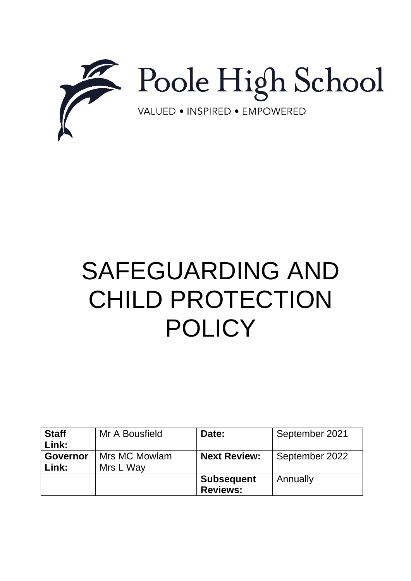

# SAFEGUARDING AND CHILD PROTECTION POLICY

| <b>Staff</b>             | Mr A Bousfield             | Date:                                | September 2021 |
|--------------------------|----------------------------|--------------------------------------|----------------|
| Link:                    |                            |                                      |                |
| <b>Governor</b><br>Link: | Mrs MC Mowlam<br>Mrs L Way | <b>Next Review:</b>                  | September 2022 |
|                          |                            | <b>Subsequent</b><br><b>Reviews:</b> | Annually       |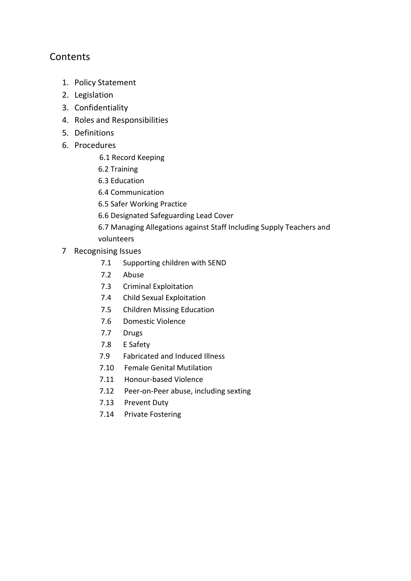# **Contents**

- 1. Policy Statement
- 2. Legislation
- 3. Confidentiality
- 4. Roles and Responsibilities
- 5. Definitions
- 6. Procedures
	- 6.1 Record Keeping
	- 6.2 Training
	- 6.3 Education
	- 6.4 Communication
	- 6.5 Safer Working Practice
	- 6.6 Designated Safeguarding Lead Cover
	- 6.7 Managing Allegations against Staff Including Supply Teachers and volunteers
- 7 Recognising Issues
	- 7.1 Supporting children with SEND
	- 7.2 Abuse
	- 7.3 Criminal Exploitation
	- 7.4 Child Sexual Exploitation
	- 7.5 Children Missing Education
	- 7.6 Domestic Violence
	- 7.7 Drugs
	- 7.8 E Safety
	- 7.9 Fabricated and Induced Illness
	- 7.10 Female Genital Mutilation
	- 7.11 Honour-based Violence
	- 7.12 Peer-on-Peer abuse, including sexting
	- 7.13 Prevent Duty
	- 7.14 Private Fostering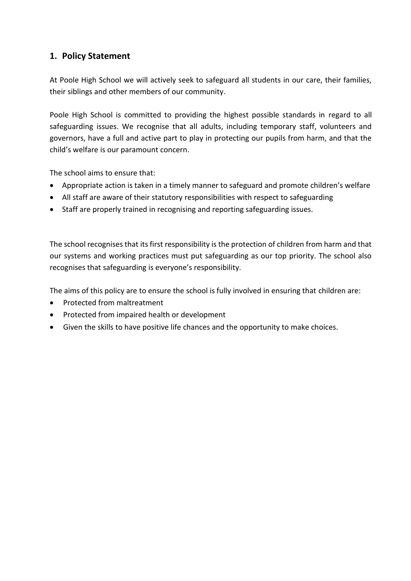# **1. Policy Statement**

At Poole High School we will actively seek to safeguard all students in our care, their families, their siblings and other members of our community.

Poole High School is committed to providing the highest possible standards in regard to all safeguarding issues. We recognise that all adults, including temporary staff, volunteers and governors, have a full and active part to play in protecting our pupils from harm, and that the child's welfare is our paramount concern.

The school aims to ensure that:

- Appropriate action is taken in a timely manner to safeguard and promote children's welfare
- All staff are aware of their statutory responsibilities with respect to safeguarding
- Staff are properly trained in recognising and reporting safeguarding issues.

The school recognises that its first responsibility is the protection of children from harm and that our systems and working practices must put safeguarding as our top priority. The school also recognises that safeguarding is everyone's responsibility.

The aims of this policy are to ensure the school is fully involved in ensuring that children are:

- Protected from maltreatment
- Protected from impaired health or development
- Given the skills to have positive life chances and the opportunity to make choices.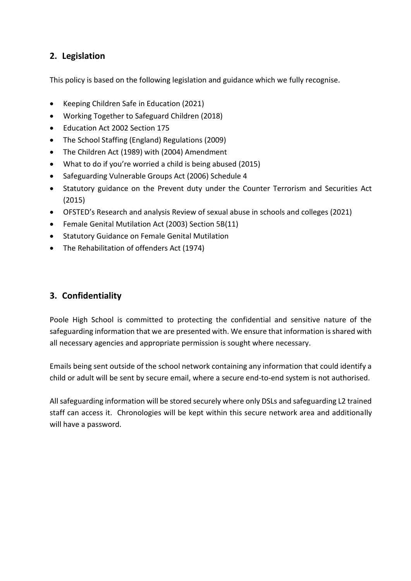# **2. Legislation**

This policy is based on the following legislation and guidance which we fully recognise.

- Keeping Children Safe in Education (2021)
- Working Together to Safeguard Children (2018)
- Education Act 2002 Section 175
- The School Staffing (England) Regulations (2009)
- The Children Act (1989) with (2004) Amendment
- What to do if you're worried a child is being abused (2015)
- Safeguarding Vulnerable Groups Act (2006) Schedule 4
- Statutory guidance on the Prevent duty under the Counter Terrorism and Securities Act (2015)
- OFSTED's Research and analysis Review of sexual abuse in schools and colleges (2021)
- Female Genital Mutilation Act (2003) Section 5B(11)
- Statutory Guidance on Female Genital Mutilation
- The Rehabilitation of offenders Act (1974)

# **3. Confidentiality**

Poole High School is committed to protecting the confidential and sensitive nature of the safeguarding information that we are presented with. We ensure that information is shared with all necessary agencies and appropriate permission is sought where necessary.

Emails being sent outside of the school network containing any information that could identify a child or adult will be sent by secure email, where a secure end-to-end system is not authorised.

All safeguarding information will be stored securely where only DSLs and safeguarding L2 trained staff can access it. Chronologies will be kept within this secure network area and additionally will have a password.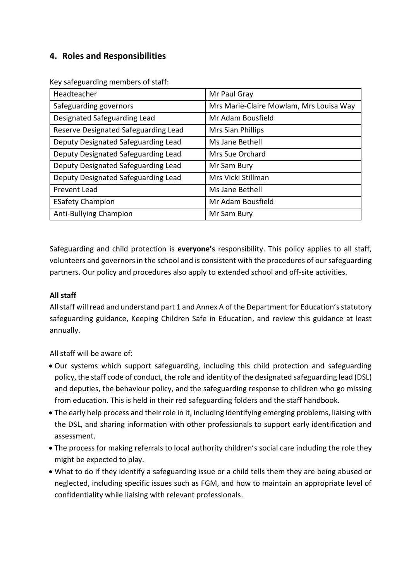# **4. Roles and Responsibilities**

Key safeguarding members of staff:

| Headteacher                          | Mr Paul Gray                            |  |
|--------------------------------------|-----------------------------------------|--|
| Safeguarding governors               | Mrs Marie-Claire Mowlam, Mrs Louisa Way |  |
| Designated Safeguarding Lead         | Mr Adam Bousfield                       |  |
| Reserve Designated Safeguarding Lead | Mrs Sian Phillips                       |  |
| Deputy Designated Safeguarding Lead  | Ms Jane Bethell                         |  |
| Deputy Designated Safeguarding Lead  | Mrs Sue Orchard                         |  |
| Deputy Designated Safeguarding Lead  | Mr Sam Bury                             |  |
| Deputy Designated Safeguarding Lead  | Mrs Vicki Stillman                      |  |
| Prevent Lead                         | Ms Jane Bethell                         |  |
| <b>ESafety Champion</b>              | Mr Adam Bousfield                       |  |
| Anti-Bullying Champion               | Mr Sam Bury                             |  |

Safeguarding and child protection is **everyone's** responsibility. This policy applies to all staff, volunteers and governors in the school and is consistent with the procedures of our safeguarding partners. Our policy and procedures also apply to extended school and off-site activities.

# **All staff**

All staff will read and understand part 1 and Annex A of the Department for Education's statutory safeguarding guidance, Keeping Children Safe in Education, and review this guidance at least annually.

All staff will be aware of:

- Our systems which support safeguarding, including this child protection and safeguarding policy, the staff code of conduct, the role and identity of the designated safeguarding lead (DSL) and deputies, the behaviour policy, and the safeguarding response to children who go missing from education. This is held in their red safeguarding folders and the staff handbook.
- The early help process and their role in it, including identifying emerging problems, liaising with the DSL, and sharing information with other professionals to support early identification and assessment.
- The process for making referrals to local authority children's social care including the role they might be expected to play.
- What to do if they identify a safeguarding issue or a child tells them they are being abused or neglected, including specific issues such as FGM, and how to maintain an appropriate level of confidentiality while liaising with relevant professionals.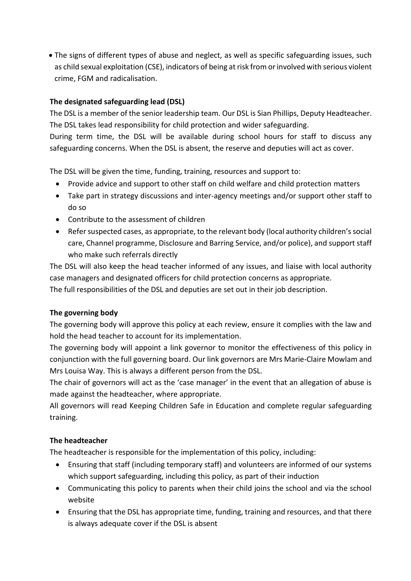• The signs of different types of abuse and neglect, as well as specific safeguarding issues, such as child sexual exploitation (CSE), indicators of being at risk from or involved with serious violent crime, FGM and radicalisation.

# **The designated safeguarding lead (DSL)**

The DSL is a member of the senior leadership team. Our DSL is Sian Phillips, Deputy Headteacher. The DSL takes lead responsibility for child protection and wider safeguarding. During term time, the DSL will be available during school hours for staff to discuss any safeguarding concerns. When the DSL is absent, the reserve and deputies will act as cover.

The DSL will be given the time, funding, training, resources and support to:

- Provide advice and support to other staff on child welfare and child protection matters
- Take part in strategy discussions and inter-agency meetings and/or support other staff to do so
- Contribute to the assessment of children
- Refer suspected cases, as appropriate, to the relevant body (local authority children's social care, Channel programme, Disclosure and Barring Service, and/or police), and support staff who make such referrals directly

The DSL will also keep the head teacher informed of any issues, and liaise with local authority case managers and designated officers for child protection concerns as appropriate.

The full responsibilities of the DSL and deputies are set out in their job description.

# **The governing body**

The governing body will approve this policy at each review, ensure it complies with the law and hold the head teacher to account for its implementation.

The governing body will appoint a link governor to monitor the effectiveness of this policy in conjunction with the full governing board. Our link governors are Mrs Marie-Claire Mowlam and Mrs Louisa Way. This is always a different person from the DSL.

The chair of governors will act as the 'case manager' in the event that an allegation of abuse is made against the headteacher, where appropriate.

All governors will read Keeping Children Safe in Education and complete regular safeguarding training.

# **The headteacher**

The headteacher is responsible for the implementation of this policy, including:

- Ensuring that staff (including temporary staff) and volunteers are informed of our systems which support safeguarding, including this policy, as part of their induction
- Communicating this policy to parents when their child joins the school and via the school website
- Ensuring that the DSL has appropriate time, funding, training and resources, and that there is always adequate cover if the DSL is absent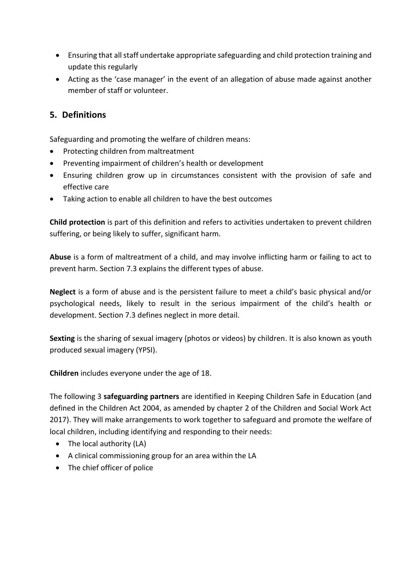- Ensuring that all staff undertake appropriate safeguarding and child protection training and update this regularly
- Acting as the 'case manager' in the event of an allegation of abuse made against another member of staff or volunteer.

# **5. Definitions**

Safeguarding and promoting the welfare of children means:

- Protecting children from maltreatment
- Preventing impairment of children's health or development
- Ensuring children grow up in circumstances consistent with the provision of safe and effective care
- Taking action to enable all children to have the best outcomes

**Child protection** is part of this definition and refers to activities undertaken to prevent children suffering, or being likely to suffer, significant harm.

**Abuse** is a form of maltreatment of a child, and may involve inflicting harm or failing to act to prevent harm. Section 7.3 explains the different types of abuse.

**Neglect** is a form of abuse and is the persistent failure to meet a child's basic physical and/or psychological needs, likely to result in the serious impairment of the child's health or development. Section 7.3 defines neglect in more detail.

**Sexting** is the sharing of sexual imagery (photos or videos) by children. It is also known as youth produced sexual imagery (YPSI).

**Children** includes everyone under the age of 18.

The following 3 **safeguarding partners** are identified in Keeping Children Safe in Education (and defined in the Children Act 2004, as amended by chapter 2 of the Children and Social Work Act 2017). They will make arrangements to work together to safeguard and promote the welfare of local children, including identifying and responding to their needs:

- The local authority (LA)
- A clinical commissioning group for an area within the LA
- The chief officer of police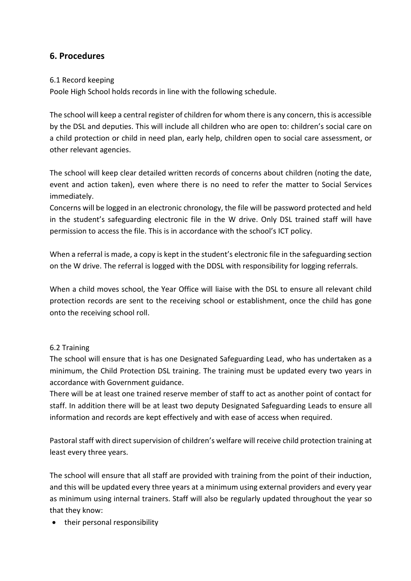# **6. Procedures**

#### 6.1 Record keeping

Poole High School holds records in line with the following schedule.

The school will keep a central register of children for whom there is any concern, this is accessible by the DSL and deputies. This will include all children who are open to: children's social care on a child protection or child in need plan, early help, children open to social care assessment, or other relevant agencies.

The school will keep clear detailed written records of concerns about children (noting the date, event and action taken), even where there is no need to refer the matter to Social Services immediately.

Concerns will be logged in an electronic chronology, the file will be password protected and held in the student's safeguarding electronic file in the W drive. Only DSL trained staff will have permission to access the file. This is in accordance with the school's ICT policy.

When a referral is made, a copy is kept in the student's electronic file in the safeguarding section on the W drive. The referral is logged with the DDSL with responsibility for logging referrals.

When a child moves school, the Year Office will liaise with the DSL to ensure all relevant child protection records are sent to the receiving school or establishment, once the child has gone onto the receiving school roll.

# 6.2 Training

The school will ensure that is has one Designated Safeguarding Lead, who has undertaken as a minimum, the Child Protection DSL training. The training must be updated every two years in accordance with Government guidance.

There will be at least one trained reserve member of staff to act as another point of contact for staff. In addition there will be at least two deputy Designated Safeguarding Leads to ensure all information and records are kept effectively and with ease of access when required.

Pastoral staff with direct supervision of children's welfare will receive child protection training at least every three years.

The school will ensure that all staff are provided with training from the point of their induction, and this will be updated every three years at a minimum using external providers and every year as minimum using internal trainers. Staff will also be regularly updated throughout the year so that they know:

• their personal responsibility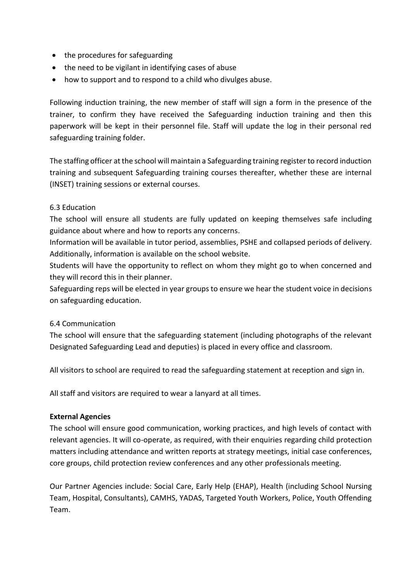- the procedures for safeguarding
- the need to be vigilant in identifying cases of abuse
- how to support and to respond to a child who divulges abuse.

Following induction training, the new member of staff will sign a form in the presence of the trainer, to confirm they have received the Safeguarding induction training and then this paperwork will be kept in their personnel file. Staff will update the log in their personal red safeguarding training folder.

The staffing officer at the school will maintain a Safeguarding training register to record induction training and subsequent Safeguarding training courses thereafter, whether these are internal (INSET) training sessions or external courses.

#### 6.3 Education

The school will ensure all students are fully updated on keeping themselves safe including guidance about where and how to reports any concerns.

Information will be available in tutor period, assemblies, PSHE and collapsed periods of delivery. Additionally, information is available on the school website.

Students will have the opportunity to reflect on whom they might go to when concerned and they will record this in their planner.

Safeguarding reps will be elected in year groups to ensure we hear the student voice in decisions on safeguarding education.

#### 6.4 Communication

The school will ensure that the safeguarding statement (including photographs of the relevant Designated Safeguarding Lead and deputies) is placed in every office and classroom.

All visitors to school are required to read the safeguarding statement at reception and sign in.

All staff and visitors are required to wear a lanyard at all times.

#### **External Agencies**

The school will ensure good communication, working practices, and high levels of contact with relevant agencies. It will co-operate, as required, with their enquiries regarding child protection matters including attendance and written reports at strategy meetings, initial case conferences, core groups, child protection review conferences and any other professionals meeting.

Our Partner Agencies include: Social Care, Early Help (EHAP), Health (including School Nursing Team, Hospital, Consultants), CAMHS, YADAS, Targeted Youth Workers, Police, Youth Offending Team.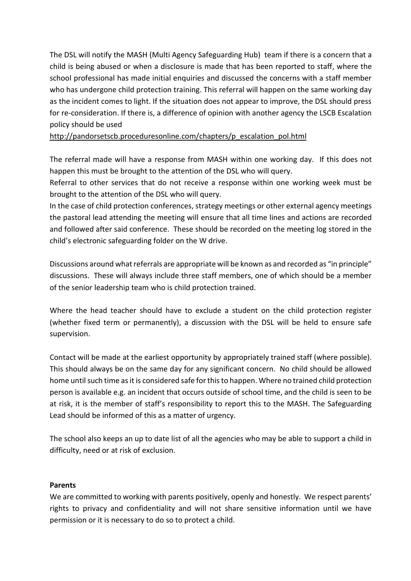The DSL will notify the MASH (Multi Agency Safeguarding Hub) team if there is a concern that a child is being abused or when a disclosure is made that has been reported to staff, where the school professional has made initial enquiries and discussed the concerns with a staff member who has undergone child protection training. This referral will happen on the same working day as the incident comes to light. If the situation does not appear to improve, the DSL should press for re-consideration. If there is, a difference of opinion with another agency the LSCB Escalation policy should be used

# [http://pandorsetscb.proceduresonline.com/chapters/p\\_escalation\\_pol.html](http://pandorsetscb.proceduresonline.com/chapters/p_escalation_pol.html)

The referral made will have a response from MASH within one working day. If this does not happen this must be brought to the attention of the DSL who will query.

Referral to other services that do not receive a response within one working week must be brought to the attention of the DSL who will query.

In the case of child protection conferences, strategy meetings or other external agency meetings the pastoral lead attending the meeting will ensure that all time lines and actions are recorded and followed after said conference. These should be recorded on the meeting log stored in the child's electronic safeguarding folder on the W drive.

Discussions around what referrals are appropriate will be known as and recorded as "in principle" discussions. These will always include three staff members, one of which should be a member of the senior leadership team who is child protection trained.

Where the head teacher should have to exclude a student on the child protection register (whether fixed term or permanently), a discussion with the DSL will be held to ensure safe supervision.

Contact will be made at the earliest opportunity by appropriately trained staff (where possible). This should always be on the same day for any significant concern. No child should be allowed home until such time as it is considered safe for this to happen. Where no trained child protection person is available e.g. an incident that occurs outside of school time, and the child is seen to be at risk, it is the member of staff's responsibility to report this to the MASH. The Safeguarding Lead should be informed of this as a matter of urgency.

The school also keeps an up to date list of all the agencies who may be able to support a child in difficulty, need or at risk of exclusion.

# **Parents**

We are committed to working with parents positively, openly and honestly. We respect parents' rights to privacy and confidentiality and will not share sensitive information until we have permission or it is necessary to do so to protect a child.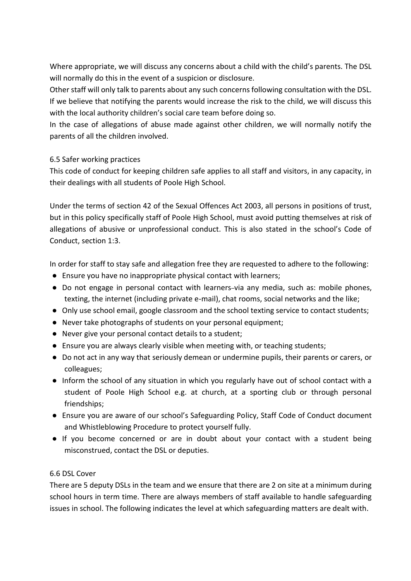Where appropriate, we will discuss any concerns about a child with the child's parents. The DSL will normally do this in the event of a suspicion or disclosure.

Other staff will only talk to parents about any such concerns following consultation with the DSL. If we believe that notifying the parents would increase the risk to the child, we will discuss this with the local authority children's social care team before doing so.

In the case of allegations of abuse made against other children, we will normally notify the parents of all the children involved.

# 6.5 Safer working practices

This code of conduct for keeping children safe applies to all staff and visitors, in any capacity, in their dealings with all students of Poole High School.

Under the terms of section 42 of the Sexual Offences Act 2003, all persons in positions of trust, but in this policy specifically staff of Poole High School, must avoid putting themselves at risk of allegations of abusive or unprofessional conduct. This is also stated in the school's Code of Conduct, section 1:3.

In order for staff to stay safe and allegation free they are requested to adhere to the following:

- Ensure you have no inappropriate physical contact with learners;
- Do not engage in personal contact with learners-via any media, such as: mobile phones, texting, the internet (including private e-mail), chat rooms, social networks and the like;
- Only use school email, google classroom and the school texting service to contact students;
- Never take photographs of students on your personal equipment;
- Never give your personal contact details to a student;
- Ensure you are always clearly visible when meeting with, or teaching students;
- Do not act in any way that seriously demean or undermine pupils, their parents or carers, or colleagues;
- Inform the school of any situation in which you regularly have out of school contact with a student of Poole High School e.g. at church, at a sporting club or through personal friendships;
- Ensure you are aware of our school's Safeguarding Policy, Staff Code of Conduct document and Whistleblowing Procedure to protect yourself fully.
- If you become concerned or are in doubt about your contact with a student being misconstrued, contact the DSL or deputies.

# 6.6 DSL Cover

There are 5 deputy DSLs in the team and we ensure that there are 2 on site at a minimum during school hours in term time. There are always members of staff available to handle safeguarding issues in school. The following indicates the level at which safeguarding matters are dealt with.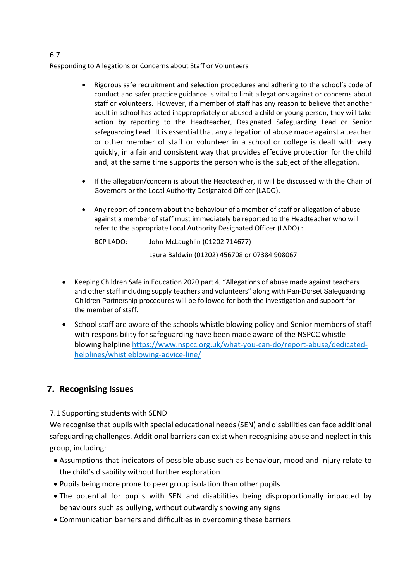Responding to Allegations or Concerns about Staff or Volunteers

- Rigorous safe recruitment and selection procedures and adhering to the school's code of conduct and safer practice guidance is vital to limit allegations against or concerns about staff or volunteers. However, if a member of staff has any reason to believe that another adult in school has acted inappropriately or abused a child or young person, they will take action by reporting to the Headteacher, Designated Safeguarding Lead or Senior safeguarding Lead. It is essential that any allegation of abuse made against a teacher or other member of staff or volunteer in a school or college is dealt with very quickly, in a fair and consistent way that provides effective protection for the child and, at the same time supports the person who is the subject of the allegation.
- If the allegation/concern is about the Headteacher, it will be discussed with the Chair of Governors or the Local Authority Designated Officer (LADO).
- Any report of concern about the behaviour of a member of staff or allegation of abuse against a member of staff must immediately be reported to the Headteacher who will refer to the appropriate Local Authority Designated Officer (LADO) :

BCP LADO: John McLaughlin (01202 714677) Laura Baldwin (01202) 456708 or 07384 908067

- Keeping Children Safe in Education 2020 part 4, "Allegations of abuse made against teachers and other staff including supply teachers and volunteers" along with Pan-Dorset Safeguarding Children Partnership procedures will be followed for both the investigation and support for the member of staff.
- School staff are aware of the schools whistle blowing policy and Senior members of staff with responsibility for safeguarding have been made aware of the NSPCC whistle blowing helpline [https://www.nspcc.org.uk/what-you-can-do/report-abuse/dedicated](https://www.nspcc.org.uk/what-you-can-do/report-abuse/dedicated-helplines/whistleblowing-advice-line/)[helplines/whistleblowing-advice-line/](https://www.nspcc.org.uk/what-you-can-do/report-abuse/dedicated-helplines/whistleblowing-advice-line/)

# **7. Recognising Issues**

7.1 Supporting students with SEND

We recognise that pupils with special educational needs (SEN) and disabilities can face additional safeguarding challenges. Additional barriers can exist when recognising abuse and neglect in this group, including:

- Assumptions that indicators of possible abuse such as behaviour, mood and injury relate to the child's disability without further exploration
- Pupils being more prone to peer group isolation than other pupils
- The potential for pupils with SEN and disabilities being disproportionally impacted by behaviours such as bullying, without outwardly showing any signs
- Communication barriers and difficulties in overcoming these barriers

#### 6.7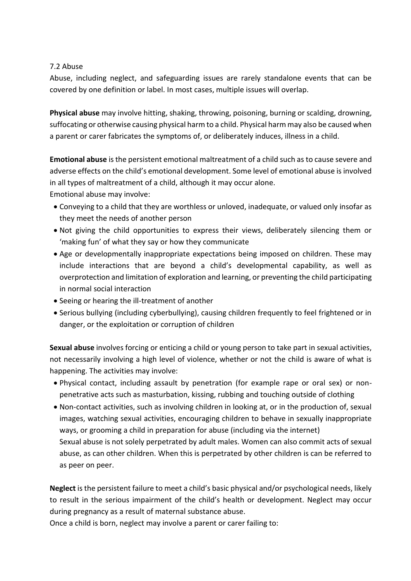# 7.2 Abuse

Abuse, including neglect, and safeguarding issues are rarely standalone events that can be covered by one definition or label. In most cases, multiple issues will overlap.

**Physical abuse** may involve hitting, shaking, throwing, poisoning, burning or scalding, drowning, suffocating or otherwise causing physical harm to a child. Physical harm may also be caused when a parent or carer fabricates the symptoms of, or deliberately induces, illness in a child.

**Emotional abuse** is the persistent emotional maltreatment of a child such as to cause severe and adverse effects on the child's emotional development. Some level of emotional abuse is involved in all types of maltreatment of a child, although it may occur alone. Emotional abuse may involve:

- Conveying to a child that they are worthless or unloved, inadequate, or valued only insofar as they meet the needs of another person
- Not giving the child opportunities to express their views, deliberately silencing them or 'making fun' of what they say or how they communicate
- Age or developmentally inappropriate expectations being imposed on children. These may include interactions that are beyond a child's developmental capability, as well as overprotection and limitation of exploration and learning, or preventing the child participating in normal social interaction
- Seeing or hearing the ill-treatment of another
- Serious bullying (including cyberbullying), causing children frequently to feel frightened or in danger, or the exploitation or corruption of children

**Sexual abuse** involves forcing or enticing a child or young person to take part in sexual activities, not necessarily involving a high level of violence, whether or not the child is aware of what is happening. The activities may involve:

- Physical contact, including assault by penetration (for example rape or oral sex) or nonpenetrative acts such as masturbation, kissing, rubbing and touching outside of clothing
- Non-contact activities, such as involving children in looking at, or in the production of, sexual images, watching sexual activities, encouraging children to behave in sexually inappropriate ways, or grooming a child in preparation for abuse (including via the internet) Sexual abuse is not solely perpetrated by adult males. Women can also commit acts of sexual abuse, as can other children. When this is perpetrated by other children is can be referred to as peer on peer.

**Neglect** is the persistent failure to meet a child's basic physical and/or psychological needs, likely to result in the serious impairment of the child's health or development. Neglect may occur during pregnancy as a result of maternal substance abuse.

Once a child is born, neglect may involve a parent or carer failing to: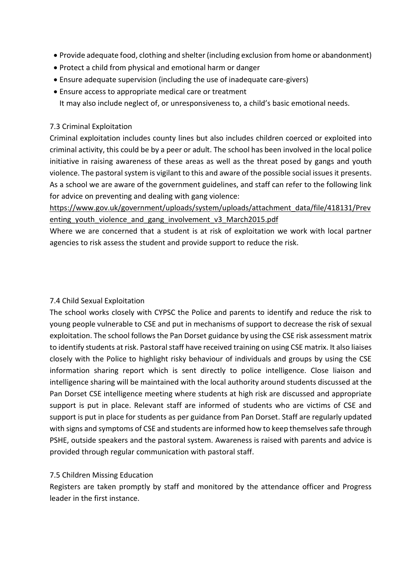- Provide adequate food, clothing and shelter (including exclusion from home or abandonment)
- Protect a child from physical and emotional harm or danger
- Ensure adequate supervision (including the use of inadequate care-givers)
- Ensure access to appropriate medical care or treatment It may also include neglect of, or unresponsiveness to, a child's basic emotional needs.

#### 7.3 Criminal Exploitation

Criminal exploitation includes county lines but also includes children coerced or exploited into criminal activity, this could be by a peer or adult. The school has been involved in the local police initiative in raising awareness of these areas as well as the threat posed by gangs and youth violence. The pastoral system is vigilant to this and aware of the possible social issues it presents. As a school we are aware of the government guidelines, and staff can refer to the following link for advice on preventing and dealing with gang violence:

[https://www.gov.uk/government/uploads/system/uploads/attachment\\_data/file/418131/Prev](https://www.gov.uk/government/uploads/system/uploads/attachment_data/file/418131/Preventing_youth_violence_and_gang_involvement_v3_March2015.pdf) enting youth violence and gang involvement v3 March2015.pdf

Where we are concerned that a student is at risk of exploitation we work with local partner agencies to risk assess the student and provide support to reduce the risk.

# 7.4 Child Sexual Exploitation

The school works closely with CYPSC the Police and parents to identify and reduce the risk to young people vulnerable to CSE and put in mechanisms of support to decrease the risk of sexual exploitation. The school follows the Pan Dorset guidance by using the CSE risk assessment matrix to identify students at risk. Pastoral staff have received training on using CSE matrix. It also liaises closely with the Police to highlight risky behaviour of individuals and groups by using the CSE information sharing report which is sent directly to police intelligence. Close liaison and intelligence sharing will be maintained with the local authority around students discussed at the Pan Dorset CSE intelligence meeting where students at high risk are discussed and appropriate support is put in place. Relevant staff are informed of students who are victims of CSE and support is put in place for students as per guidance from Pan Dorset. Staff are regularly updated with signs and symptoms of CSE and students are informed how to keep themselves safe through PSHE, outside speakers and the pastoral system*.* Awareness is raised with parents and advice is provided through regular communication with pastoral staff.

# 7.5 Children Missing Education

Registers are taken promptly by staff and monitored by the attendance officer and Progress leader in the first instance.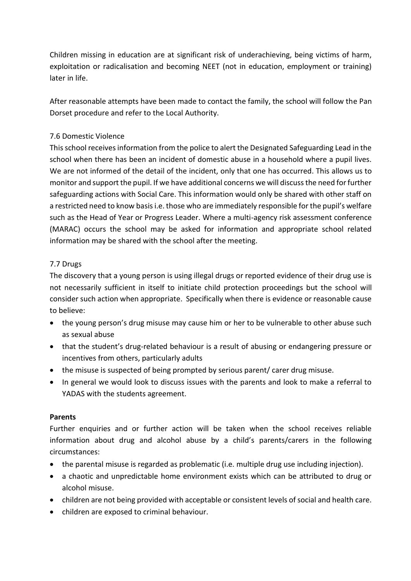Children missing in education are at significant risk of underachieving, being victims of harm, exploitation or radicalisation and becoming NEET (not in education, employment or training) later in life.

After reasonable attempts have been made to contact the family, the school will follow the Pan Dorset procedure and refer to the Local Authority.

# 7.6 Domestic Violence

This school receives information from the police to alert the Designated Safeguarding Lead in the school when there has been an incident of domestic abuse in a household where a pupil lives. We are not informed of the detail of the incident, only that one has occurred. This allows us to monitor and support the pupil. If we have additional concerns we will discuss the need for further safeguarding actions with Social Care. This information would only be shared with other staff on a restricted need to know basis i.e. those who are immediately responsible for the pupil's welfare such as the Head of Year or Progress Leader. Where a multi-agency risk assessment conference (MARAC) occurs the school may be asked for information and appropriate school related information may be shared with the school after the meeting.

# 7.7 Drugs

The discovery that a young person is using illegal drugs or reported evidence of their drug use is not necessarily sufficient in itself to initiate child protection proceedings but the school will consider such action when appropriate. Specifically when there is evidence or reasonable cause to believe:

- the young person's drug misuse may cause him or her to be vulnerable to other abuse such as sexual abuse
- that the student's drug-related behaviour is a result of abusing or endangering pressure or incentives from others, particularly adults
- the misuse is suspected of being prompted by serious parent/ carer drug misuse.
- In general we would look to discuss issues with the parents and look to make a referral to YADAS with the students agreement.

# **Parents**

Further enquiries and or further action will be taken when the school receives reliable information about drug and alcohol abuse by a child's parents/carers in the following circumstances:

- the parental misuse is regarded as problematic (i.e. multiple drug use including injection).
- a chaotic and unpredictable home environment exists which can be attributed to drug or alcohol misuse.
- children are not being provided with acceptable or consistent levels of social and health care.
- children are exposed to criminal behaviour.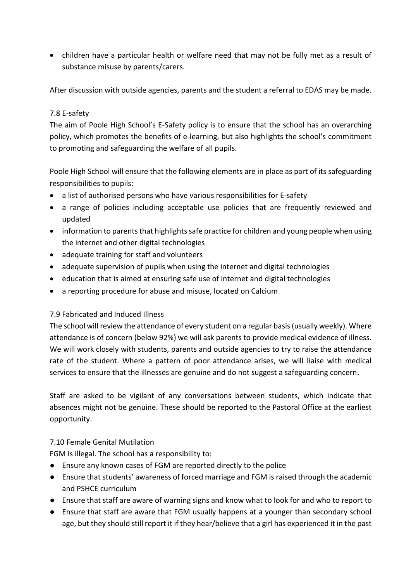• children have a particular health or welfare need that may not be fully met as a result of substance misuse by parents/carers.

After discussion with outside agencies, parents and the student a referral to EDAS may be made.

# 7.8 E-safety

The aim of Poole High School's E-Safety policy is to ensure that the school has an overarching policy, which promotes the benefits of e-learning, but also highlights the school's commitment to promoting and safeguarding the welfare of all pupils.

Poole High School will ensure that the following elements are in place as part of its safeguarding responsibilities to pupils:

- a list of authorised persons who have various responsibilities for E-safety
- a range of policies including acceptable use policies that are frequently reviewed and updated
- information to parents that highlights safe practice for children and young people when using the internet and other digital technologies
- adequate training for staff and volunteers
- adequate supervision of pupils when using the internet and digital technologies
- education that is aimed at ensuring safe use of internet and digital technologies
- a reporting procedure for abuse and misuse, located on Calcium

# 7.9 Fabricated and Induced Illness

The school will review the attendance of every student on a regular basis (usually weekly). Where attendance is of concern (below 92%) we will ask parents to provide medical evidence of illness. We will work closely with students, parents and outside agencies to try to raise the attendance rate of the student. Where a pattern of poor attendance arises, we will liaise with medical services to ensure that the illnesses are genuine and do not suggest a safeguarding concern.

Staff are asked to be vigilant of any conversations between students, which indicate that absences might not be genuine. These should be reported to the Pastoral Office at the earliest opportunity.

# 7.10 Female Genital Mutilation

FGM is illegal. The school has a responsibility to:

- Ensure any known cases of FGM are reported directly to the police
- Ensure that students' awareness of forced marriage and FGM is raised through the academic and PSHCE curriculum
- Ensure that staff are aware of warning signs and know what to look for and who to report to
- Ensure that staff are aware that FGM usually happens at a younger than secondary school age, but they should still report it if they hear/believe that a girl has experienced it in the past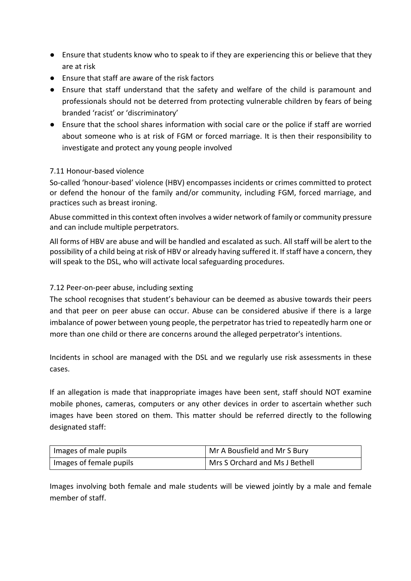- Ensure that students know who to speak to if they are experiencing this or believe that they are at risk
- Ensure that staff are aware of the risk factors
- Ensure that staff understand that the safety and welfare of the child is paramount and professionals should not be deterred from protecting vulnerable children by fears of being branded 'racist' or 'discriminatory'
- Ensure that the school shares information with social care or the police if staff are worried about someone who is at risk of FGM or forced marriage. It is then their responsibility to investigate and protect any young people involved

# 7.11 Honour-based violence

So-called 'honour-based' violence (HBV) encompasses incidents or crimes committed to protect or defend the honour of the family and/or community, including FGM, forced marriage, and practices such as breast ironing.

Abuse committed in this context often involves a wider network of family or community pressure and can include multiple perpetrators.

All forms of HBV are abuse and will be handled and escalated as such. All staff will be alert to the possibility of a child being at risk of HBV or already having suffered it. If staff have a concern, they will speak to the DSL, who will activate local safeguarding procedures.

# 7.12 Peer-on-peer abuse, including sexting

The school recognises that student's behaviour can be deemed as abusive towards their peers and that peer on peer abuse can occur. Abuse can be considered abusive if there is a large imbalance of power between young people, the perpetrator has tried to repeatedly harm one or more than one child or there are concerns around the alleged perpetrator's intentions.

Incidents in school are managed with the DSL and we regularly use risk assessments in these cases.

If an allegation is made that inappropriate images have been sent, staff should NOT examine mobile phones, cameras, computers or any other devices in order to ascertain whether such images have been stored on them. This matter should be referred directly to the following designated staff:

| Images of male pupils   | Mr A Bousfield and Mr S Bury   |  |
|-------------------------|--------------------------------|--|
| Images of female pupils | Mrs S Orchard and Ms J Bethell |  |

Images involving both female and male students will be viewed jointly by a male and female member of staff.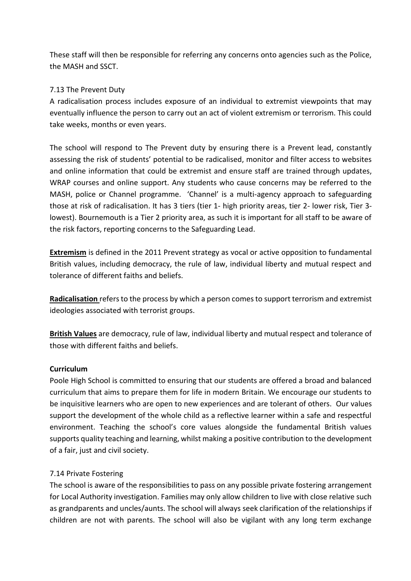These staff will then be responsible for referring any concerns onto agencies such as the Police, the MASH and SSCT.

# 7.13 The Prevent Duty

A radicalisation process includes exposure of an individual to extremist viewpoints that may eventually influence the person to carry out an act of violent extremism or terrorism. This could take weeks, months or even years.

The school will respond to The Prevent duty by ensuring there is a Prevent lead, constantly assessing the risk of students' potential to be radicalised, monitor and filter access to websites and online information that could be extremist and ensure staff are trained through updates, WRAP courses and online support. Any students who cause concerns may be referred to the MASH, police or Channel programme. 'Channel' is a multi-agency approach to safeguarding those at risk of radicalisation. It has 3 tiers (tier 1- high priority areas, tier 2- lower risk, Tier 3 lowest). Bournemouth is a Tier 2 priority area, as such it is important for all staff to be aware of the risk factors, reporting concerns to the Safeguarding Lead.

**Extremism** is defined in the 2011 Prevent strategy as vocal or active opposition to fundamental British values, including democracy, the rule of law, individual liberty and mutual respect and tolerance of different faiths and beliefs.

**Radicalisation** refers to the process by which a person comes to support terrorism and extremist ideologies associated with terrorist groups.

**British Values** are democracy, rule of law, individual liberty and mutual respect and tolerance of those with different faiths and beliefs.

# **Curriculum**

Poole High School is committed to ensuring that our students are offered a broad and balanced curriculum that aims to prepare them for life in modern Britain. We encourage our students to be inquisitive learners who are open to new experiences and are tolerant of others. Our values support the development of the whole child as a reflective learner within a safe and respectful environment. Teaching the school's core values alongside the fundamental British values supports quality teaching and learning, whilst making a positive contribution to the development of a fair, just and civil society.

# 7.14 Private Fostering

The school is aware of the responsibilities to pass on any possible private fostering arrangement for Local Authority investigation. Families may only allow children to live with close relative such as grandparents and uncles/aunts. The school will always seek clarification of the relationships if children are not with parents. The school will also be vigilant with any long term exchange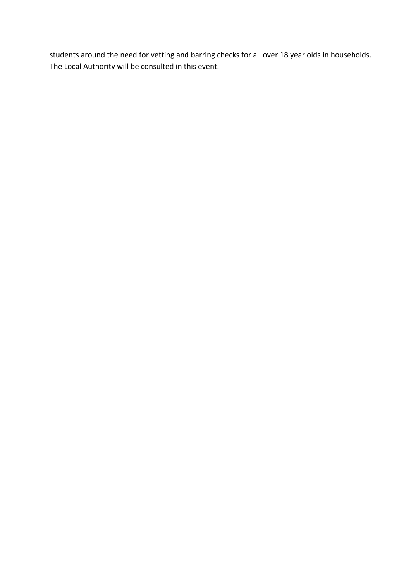students around the need for vetting and barring checks for all over 18 year olds in households. The Local Authority will be consulted in this event.